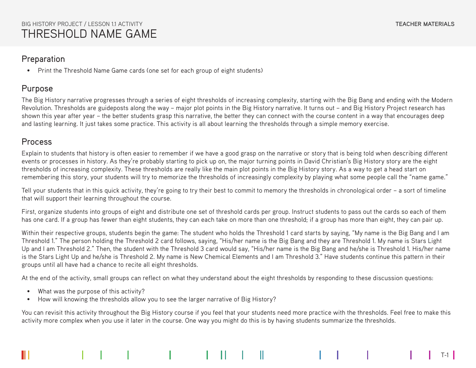• Print the Threshold Name Game cards (one set for each group of eight students)

## Purpose

The Big History narrative progresses through a series of eight thresholds of increasing complexity, starting with the Big Bang and ending with the Modern Revolution. Thresholds are guideposts along the way – major plot points in the Big History narrative. It turns out – and Big History Project research has shown this year after year – the better students grasp this narrative, the better they can connect with the course content in a way that encourages deep and lasting learning. It just takes some practice. This activity is all about learning the thresholds through a simple memory exercise.

## Process

Explain to students that history is often easier to remember if we have a good grasp on the narrative or story that is being told when describing different events or processes in history. As they're probably starting to pick up on, the major turning points in David Christian's Big History story are the eight thresholds of increasing complexity. These thresholds are really like the main plot points in the Big History story. As a way to get a head start on remembering this story, your students will try to memorize the thresholds of increasingly complexity by playing what some people call the "name game."

Tell your students that in this quick activity, they're going to try their best to commit to memory the thresholds in chronological order – a sort of timeline that will support their learning throughout the course.

First, organize students into groups of eight and distribute one set of threshold cards per group. Instruct students to pass out the cards so each of them has one card. If a group has fewer than eight students, they can each take on more than one threshold; if a group has more than eight, they can pair up.

Within their respective groups, students begin the game: The student who holds the Threshold 1 card starts by saying, "My name is the Big Bang and I am Threshold 1." The person holding the Threshold 2 card follows, saying, "His/her name is the Big Bang and they are Threshold 1. My name is Stars Light Up and I am Threshold 2." Then, the student with the Threshold 3 card would say, "His/her name is the Big Bang and he/she is Threshold 1. His/her name is the Stars Light Up and he/she is Threshold 2. My name is New Chemical Elements and I am Threshold 3." Have students continue this pattern in their groups until all have had a chance to recite all eight thresholds.

At the end of the activity, small groups can reflect on what they understand about the eight thresholds by responding to these discussion questions:

- What was the purpose of this activity?
- How will knowing the thresholds allow you to see the larger narrative of Big History?

You can revisit this activity throughout the Big History course if you feel that your students need more practice with the thresholds. Feel free to make this activity more complex when you use it later in the course. One way you might do this is by having students summarize the thresholds.

T-1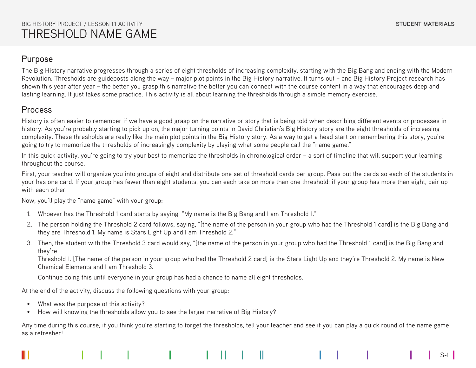S-1

## Purpose

The Big History narrative progresses through a series of eight thresholds of increasing complexity, starting with the Big Bang and ending with the Modern Revolution. Thresholds are guideposts along the way – major plot points in the Big History narrative. It turns out – and Big History Project research has shown this year after year – the better you grasp this narrative the better you can connect with the course content in a way that encourages deep and lasting learning. It just takes some practice. This activity is all about learning the thresholds through a simple memory exercise.

## Process

History is often easier to remember if we have a good grasp on the narrative or story that is being told when describing different events or processes in history. As you're probably starting to pick up on, the major turning points in David Christian's Big History story are the eight thresholds of increasing complexity. These thresholds are really like the main plot points in the Big History story. As a way to get a head start on remembering this story, you're going to try to memorize the thresholds of increasingly complexity by playing what some people call the "name game."

In this quick activity, you're going to try your best to memorize the thresholds in chronological order – a sort of timeline that will support your learning throughout the course.

First, your teacher will organize you into groups of eight and distribute one set of threshold cards per group. Pass out the cards so each of the students in your has one card. If your group has fewer than eight students, you can each take on more than one threshold; if your group has more than eight, pair up with each other

Now, you'll play the "name game" with your group:

- 1. Whoever has the Threshold 1 card starts by saying, "My name is the Big Bang and I am Threshold 1."
- 2. The person holding the Threshold 2 card follows, saying, "[the name of the person in your group who had the Threshold 1 card] is the Big Bang and they are Threshold 1. My name is Stars Light Up and I am Threshold 2."
- 3. Then, the student with the Threshold 3 card would say, "[the name of the person in your group who had the Threshold 1 card] is the Big Bang and they're

Threshold 1. [The name of the person in your group who had the Threshold 2 card] is the Stars Light Up and they're Threshold 2. My name is New Chemical Elements and I am Threshold 3.

Continue doing this until everyone in your group has had a chance to name all eight thresholds.

At the end of the activity, discuss the following questions with your group:

- What was the purpose of this activity?
- How will knowing the thresholds allow you to see the larger narrative of Big History?

Any time during this course, if you think you're starting to forget the thresholds, tell your teacher and see if you can play a quick round of the name game as a refresher!